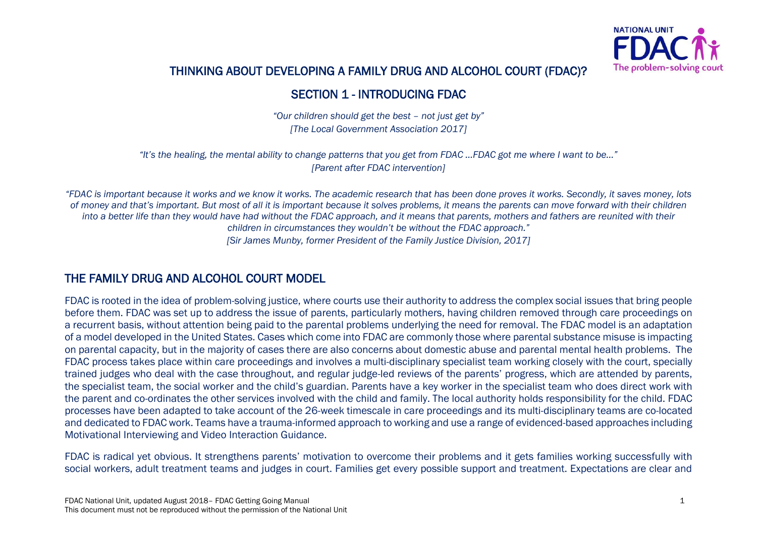

## THINKING ABOUT DEVELOPING A FAMILY DRUG AND ALCOHOL COURT (FDAC)?

### SECTION 1 - INTRODUCING FDAC

*"Our children should get the best – not just get by" [The Local Government Association 2017]*

*"It's the healing, the mental ability to change patterns that you get from FDAC …FDAC got me where I want to be…" [Parent after FDAC intervention]*

*"FDAC is important because it works and we know it works. The academic research that has been done proves it works. Secondly, it saves money, lots of money and that's important. But most of all it is important because it solves problems, it means the parents can move forward with their children into a better life than they would have had without the FDAC approach, and it means that parents, mothers and fathers are reunited with their children in circumstances they wouldn't be without the FDAC approach." [Sir James Munby, former President of the Family Justice Division, 2017]*

### THE FAMILY DRUG AND ALCOHOL COURT MODEL

FDAC is rooted in the idea of problem-solving justice, where courts use their authority to address the complex social issues that bring people before them. FDAC was set up to address the issue of parents, particularly mothers, having children removed through care proceedings on a recurrent basis, without attention being paid to the parental problems underlying the need for removal. The FDAC model is an adaptation of a model developed in the United States. Cases which come into FDAC are commonly those where parental substance misuse is impacting on parental capacity, but in the majority of cases there are also concerns about domestic abuse and parental mental health problems. The FDAC process takes place within care proceedings and involves a multi-disciplinary specialist team working closely with the court, specially trained judges who deal with the case throughout, and regular judge-led reviews of the parents' progress, which are attended by parents, the specialist team, the social worker and the child's guardian. Parents have a key worker in the specialist team who does direct work with the parent and co-ordinates the other services involved with the child and family. The local authority holds responsibility for the child. FDAC processes have been adapted to take account of the 26-week timescale in care proceedings and its multi-disciplinary teams are co-located and dedicated to FDAC work. Teams have a trauma-informed approach to working and use a range of evidenced-based approaches including Motivational Interviewing and Video Interaction Guidance.

FDAC is radical yet obvious. It strengthens parents' motivation to overcome their problems and it gets families working successfully with social workers, adult treatment teams and judges in court. Families get every possible support and treatment. Expectations are clear and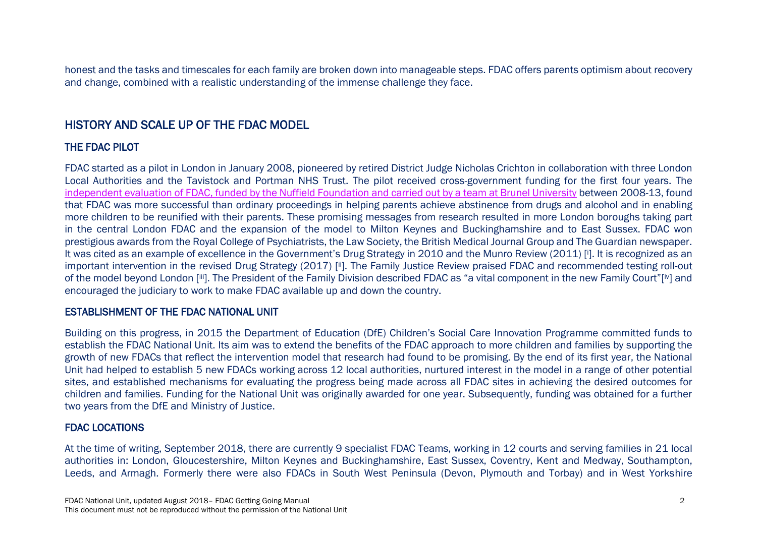honest and the tasks and timescales for each family are broken down into manageable steps. FDAC offers parents optimism about recovery and change, combined with a realistic understanding of the immense challenge they face.

## HISTORY AND SCALE UP OF THE FDAC MODEL

#### THE FDAC PILOT

FDAC started as a pilot in London in January 2008, pioneered by retired District Judge Nicholas Crichton in collaboration with three London Local Authorities and the Tavistock and Portman NHS Trust. The pilot received cross-government funding for the first four years. The [independent evaluation of FDAC, funded by the Nuffield Foundation and](http://wp.lancs.ac.uk/cfj-fdac/publications/) carried out by a team at Brunel University between 2008-13, found that FDAC was more successful than ordinary proceedings in helping parents achieve abstinence from drugs and alcohol and in enabling more children to be reunified with their parents. These promising messages from research resulted in more London boroughs taking part in the central London FDAC and the expansion of the model to Milton Keynes and Buckinghamshire and to East Sussex. FDAC won prestigious awards from the Royal College of Psychiatrists, the Law Society, the British Medical Journal Group and The Guardian newspaper. It was cited as an example of excellence in the Government's Drug Strategy in 2010 and the Munro Review (2011) [i]. It is recognized as an important intervention in the revised Drug Strategy (2017) [ii]. The Family Justice Review praised FDAC and recommended testing roll-out of the model beyond London [iii]. The President of the Family Division described FDAC as "a vital component in the new Family Court"[iv] and encouraged the judiciary to work to make FDAC available up and down the country.

#### ESTABLISHMENT OF THE FDAC NATIONAL UNIT

Building on this progress, in 2015 the Department of Education (DfE) Children's Social Care Innovation Programme committed funds to establish the FDAC National Unit. Its aim was to extend the benefits of the FDAC approach to more children and families by supporting the growth of new FDACs that reflect the intervention model that research had found to be promising. By the end of its first year, the National Unit had helped to establish 5 new FDACs working across 12 local authorities, nurtured interest in the model in a range of other potential sites, and established mechanisms for evaluating the progress being made across all FDAC sites in achieving the desired outcomes for children and families. Funding for the National Unit was originally awarded for one year. Subsequently, funding was obtained for a further two years from the DfE and Ministry of Justice.

#### FDAC LOCATIONS

At the time of writing, September 2018, there are currently 9 specialist FDAC Teams, working in 12 courts and serving families in 21 local authorities in: London, Gloucestershire, Milton Keynes and Buckinghamshire, East Sussex, Coventry, Kent and Medway, Southampton, Leeds, and Armagh. Formerly there were also FDACs in South West Peninsula (Devon, Plymouth and Torbay) and in West Yorkshire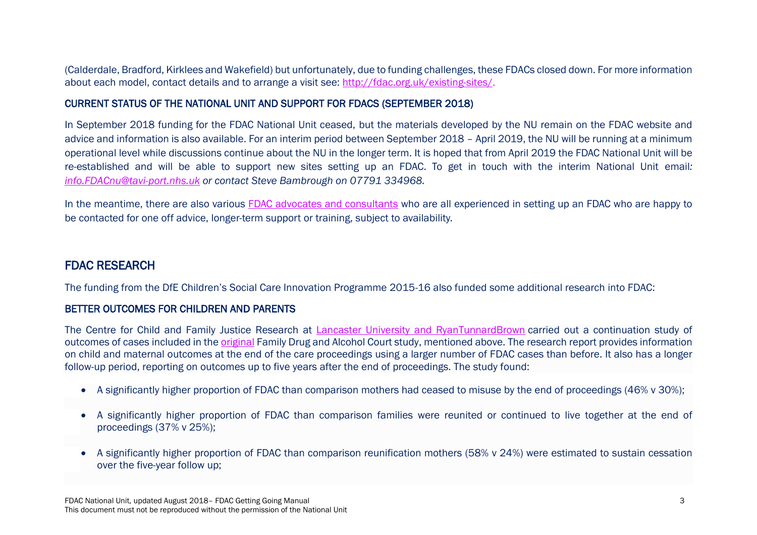(Calderdale, Bradford, Kirklees and Wakefield) but unfortunately, due to funding challenges, these FDACs closed down. For more information about each model, contact details and to arrange a visit see:<http://fdac.org.uk/existing-sites/>.

#### CURRENT STATUS OF THE NATIONAL UNIT AND SUPPORT FOR FDACS (SEPTEMBER 2018)

In September 2018 funding for the FDAC National Unit ceased, but the materials developed by the NU remain on the FDAC website and advice and information is also available. For an interim period between September 2018 – April 2019, the NU will be running at a minimum operational level while discussions continue about the NU in the longer term. It is hoped that from April 2019 the FDAC National Unit will be re-established and will be able to support new sites setting up an FDAC. To get in touch with the interim National Unit email*: [info.FDACnu@tavi-port.nhs.uk](mailto:info.FDACnu@tavi-port.nhs.uk) or contact Steve Bambrough on 07791 334968.* 

In the meantime, there are also various [FDAC advocates and consultants](http://fdac.org.uk/fdac-and-national-unit-contacts/) who are all experienced in setting up an FDAC who are happy to be contacted for one off advice, longer-term support or training, subject to availability.

### FDAC RESEARCH

The funding from the DfE Children's Social Care Innovation Programme 2015-16 also funded some additional research into FDAC:

#### BETTER OUTCOMES FOR CHILDREN AND PARENTS

The Centre for Child and Family Justice Research at [Lancaster University and RyanTunnardBrown](http://fdac.org.uk/about-the-national-unit/the-partnership-board/) carried out a continuation study of outcomes of cases included in th[e original](http://wp.lancs.ac.uk/cfj-fdac/publications/) Family Drug and Alcohol Court study, mentioned above. The research report provides information on child and maternal outcomes at the end of the care proceedings using a larger number of FDAC cases than before. It also has a longer follow-up period, reporting on outcomes up to five years after the end of proceedings. The study found:

- A significantly higher proportion of FDAC than comparison mothers had ceased to misuse by the end of proceedings (46% v 30%);
- A significantly higher proportion of FDAC than comparison families were reunited or continued to live together at the end of proceedings (37% v 25%);
- A significantly higher proportion of FDAC than comparison reunification mothers (58% v 24%) were estimated to sustain cessation over the five-year follow up;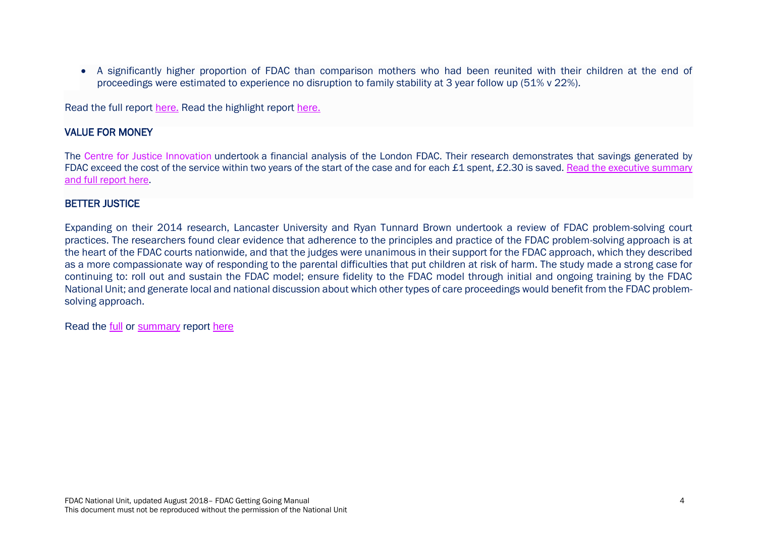A significantly higher proportion of FDAC than comparison mothers who had been reunited with their children at the end of proceedings were estimated to experience no disruption to family stability at 3 year follow up (51% v 22%).

Read the full report [here.](http://wp.lancs.ac.uk/cfj-fdac/files/2016/12/FDAC_FINAL_REPORT_2016.pdf) Read the highlight report [here.](http://fdac.org.uk/wp-content/uploads/2016/09/FDAC-Report-final-1.pdf)

#### VALUE FOR MONEY

The Centre for Justice Innovation undertook a financial analysis of the London FDAC. Their research demonstrates that savings generated by FDAC exceed the cost of the service within two years of the start of the case and for each £1 spent, £2.30 is saved. Read the executive summary [and full report here.](http://fdac.org.uk/wp-content/uploads/2016/04/Better-Courts-The-Financial-Impact-of-the-London-FDAC.pdf)

#### BETTER JUSTICE

Expanding on their 2014 research, Lancaster University and Ryan Tunnard Brown undertook a review of FDAC problem-solving court practices. The researchers found clear evidence that adherence to the principles and practice of the FDAC problem-solving approach is at the heart of the FDAC courts nationwide, and that the judges were unanimous in their support for the FDAC approach, which they described as a more compassionate way of responding to the parental difficulties that put children at risk of harm. The study made a strong case for continuing to: roll out and sustain the FDAC model; ensure fidelity to the FDAC model through initial and ongoing training by the FDAC National Unit; and generate local and national discussion about which other types of care proceedings would benefit from the FDAC problemsolving approach.

Read the [full](http://wp.lancs.ac.uk/cfj-fdac/files/2016/12/FDAC_COURT_OBS_REPORT_2016.pdf) or [summary](http://wp.lancs.ac.uk/cfj-fdac/files/2016/11/Problem_solving_in_court_2016.pdf) report [here](http://wp.lancs.ac.uk/cfj-fdac/publications/)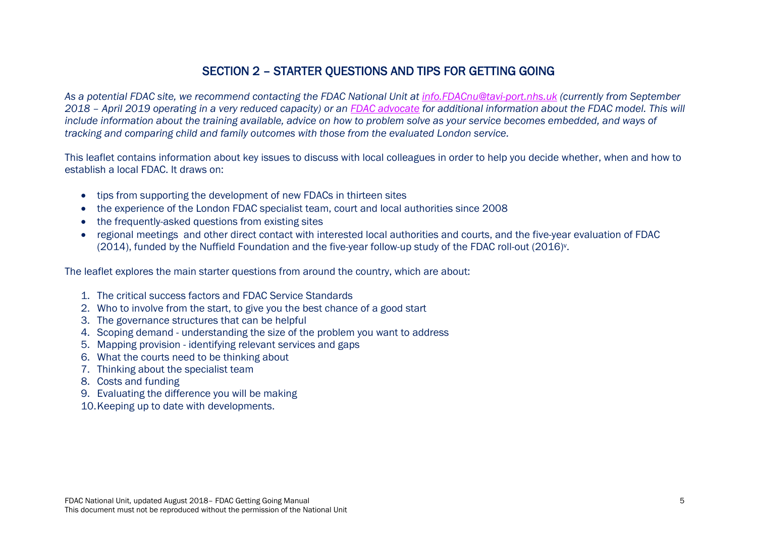## SECTION 2 – STARTER QUESTIONS AND TIPS FOR GETTING GOING

*As a potential FDAC site, we recommend contacting the FDAC National Unit at [info.FDACnu@tavi-port.nhs.uk](mailto:info.FDACnu@tavi-port.nhs.uk) (currently from September 2018 – April 2019 operating in a very reduced capacity) or an [FDAC advocate](http://fdac.org.uk/fdac-and-national-unit-contacts/) for additional information about the FDAC model. This will include information about the training available, advice on how to problem solve as your service becomes embedded, and ways of tracking and comparing child and family outcomes with those from the evaluated London service.* 

This leaflet contains information about key issues to discuss with local colleagues in order to help you decide whether, when and how to establish a local FDAC. It draws on:

- tips from supporting the development of new FDACs in thirteen sites
- the experience of the London FDAC specialist team, court and local authorities since 2008
- the frequently-asked questions from existing sites
- regional meetings and other direct contact with interested local authorities and courts, and the five-year evaluation of FDAC (2014), funded by the Nuffield Foundation and the five-year follow-up study of the FDAC roll-out (2016)<sup>v</sup> .

The leaflet explores the main starter questions from around the country, which are about:

- 1. The critical success factors and FDAC Service Standards
- 2. Who to involve from the start, to give you the best chance of a good start
- 3. The governance structures that can be helpful
- 4. Scoping demand understanding the size of the problem you want to address
- 5. Mapping provision identifying relevant services and gaps
- 6. What the courts need to be thinking about
- 7. Thinking about the specialist team
- 8. Costs and funding
- 9. Evaluating the difference you will be making
- 10.Keeping up to date with developments.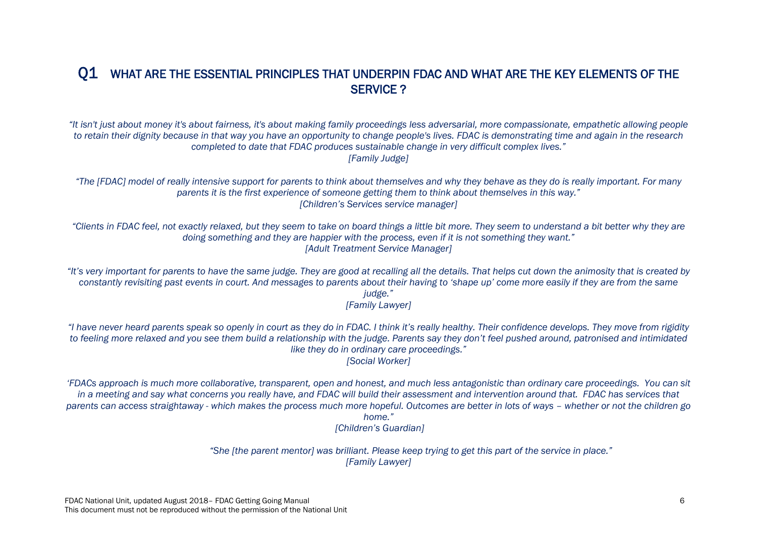## Q1 WHAT ARE THE ESSENTIAL PRINCIPLES THAT UNDERPIN FDAC AND WHAT ARE THE KEY ELEMENTS OF THE SERVICE ?

*"It isn't just about money it's about fairness, it's about making family proceedings less adversarial, more compassionate, empathetic allowing people to retain their dignity because in that way you have an opportunity to change people's lives. FDAC is demonstrating time and again in the research completed to date that FDAC produces sustainable change in very difficult complex lives." [Family Judge]*

*"The [FDAC] model of really intensive support for parents to think about themselves and why they behave as they do is really important. For many parents it is the first experience of someone getting them to think about themselves in this way." [Children's Services service manager]*

*"Clients in FDAC feel, not exactly relaxed, but they seem to take on board things a little bit more. They seem to understand a bit better why they are doing something and they are happier with the process, even if it is not something they want." [Adult Treatment Service Manager]*

"It's very important for parents to have the same judge. They are good at recalling all the details. That helps cut down the animosity that is created by *constantly revisiting past events in court. And messages to parents about their having to 'shape up' come more easily if they are from the same judge." [Family Lawyer]*

*"I have never heard parents speak so openly in court as they do in FDAC. I think it's really healthy. Their confidence develops. They move from rigidity to feeling more relaxed and you see them build a relationship with the judge. Parents say they don't feel pushed around, patronised and intimidated like they do in ordinary care proceedings." [Social Worker]*

*'FDACs approach is much more collaborative, transparent, open and honest, and much less antagonistic than ordinary care proceedings. You can sit in a meeting and say what concerns you really have, and FDAC will build their assessment and intervention around that. FDAC has services that parents can access straightaway - which makes the process much more hopeful. Outcomes are better in lots of ways – whether or not the children go home."*

*[Children's Guardian]*

*"She [the parent mentor] was brilliant. Please keep trying to get this part of the service in place." [Family Lawyer]*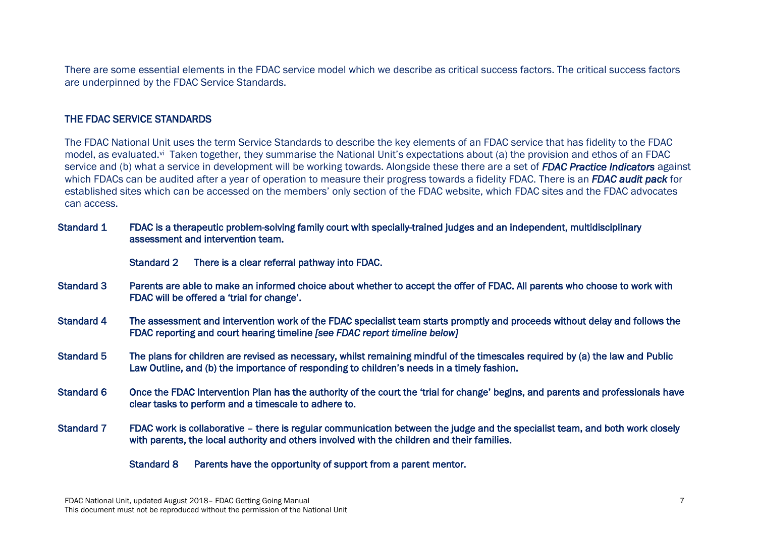There are some essential elements in the FDAC service model which we describe as critical success factors. The critical success factors are underpinned by the FDAC Service Standards.

#### THE FDAC SERVICE STANDARDS

The FDAC National Unit uses the term Service Standards to describe the key elements of an FDAC service that has fidelity to the FDAC model, as evaluated.<sup>vi</sup> Taken together, they summarise the National Unit's expectations about (a) the provision and ethos of an FDAC service and (b) what a service in development will be working towards. Alongside these there are a set of *FDAC Practice Indicators* against which FDACs can be audited after a year of operation to measure their progress towards a fidelity FDAC. There is an *FDAC audit pack* for established sites which can be accessed on the members' only section of the FDAC website, which FDAC sites and the FDAC advocates can access.

| <b>Standard 1</b> | FDAC is a therapeutic problem-solving family court with specially-trained judges and an independent, multidisciplinary |
|-------------------|------------------------------------------------------------------------------------------------------------------------|
|                   | assessment and intervention team.                                                                                      |

Standard 2 There is a clear referral pathway into FDAC.

- Standard 3 Parents are able to make an informed choice about whether to accept the offer of FDAC. All parents who choose to work with FDAC will be offered a 'trial for change'.
- Standard 4 The assessment and intervention work of the FDAC specialist team starts promptly and proceeds without delay and follows the FDAC reporting and court hearing timeline *[see FDAC report timeline below]*
- Standard 5 The plans for children are revised as necessary, whilst remaining mindful of the timescales required by (a) the law and Public Law Outline, and (b) the importance of responding to children's needs in a timely fashion.
- Standard 6 Once the FDAC Intervention Plan has the authority of the court the 'trial for change' begins, and parents and professionals have clear tasks to perform and a timescale to adhere to.
- Standard 7 FDAC work is collaborative there is regular communication between the judge and the specialist team, and both work closely with parents, the local authority and others involved with the children and their families.

Standard 8 Parents have the opportunity of support from a parent mentor.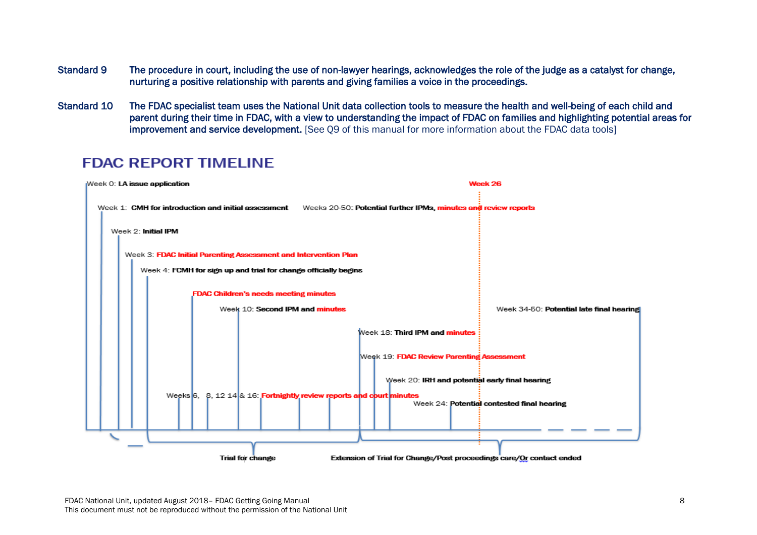- Standard 9 The procedure in court, including the use of non-lawyer hearings, acknowledges the role of the judge as a catalyst for change, nurturing a positive relationship with parents and giving families a voice in the proceedings.
- Standard 10 The FDAC specialist team uses the National Unit data collection tools to measure the health and well-being of each child and parent during their time in FDAC, with a view to understanding the impact of FDAC on families and highlighting potential areas for improvement and service development. [See 09 of this manual for more information about the FDAC data tools]

## **FDAC REPORT TIMELINE**

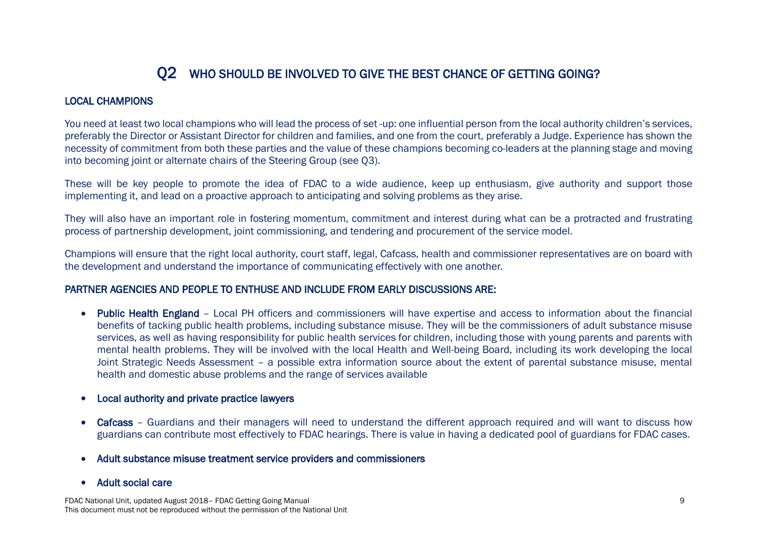## Q2 WHO SHOULD BE INVOLVED TO GIVE THE BEST CHANCE OF GETTING GOING?

#### LOCAL CHAMPIONS

You need at least two local champions who will lead the process of set -up: one influential person from the local authority children's services, preferably the Director or Assistant Director for children and families, and one from the court, preferably a Judge. Experience has shown the necessity of commitment from both these parties and the value of these champions becoming co-leaders at the planning stage and moving into becoming joint or alternate chairs of the Steering Group (see Q3).

These will be key people to promote the idea of FDAC to a wide audience, keep up enthusiasm, give authority and support those implementing it, and lead on a proactive approach to anticipating and solving problems as they arise.

They will also have an important role in fostering momentum, commitment and interest during what can be a protracted and frustrating process of partnership development, joint commissioning, and tendering and procurement of the service model.

Champions will ensure that the right local authority, court staff, legal, Cafcass, health and commissioner representatives are on board with the development and understand the importance of communicating effectively with one another.

#### PARTNER AGENCIES AND PEOPLE TO ENTHUSE AND INCLUDE FROM EARLY DISCUSSIONS ARE:

- Public Health England Local PH officers and commissioners will have expertise and access to information about the financial benefits of tacking public health problems, including substance misuse. They will be the commissioners of adult substance misuse services, as well as having responsibility for public health services for children, including those with young parents and parents with mental health problems. They will be involved with the local Health and Well-being Board, including its work developing the local Joint Strategic Needs Assessment – a possible extra information source about the extent of parental substance misuse, mental health and domestic abuse problems and the range of services available
- Local authority and private practice lawyers
- Cafcass Guardians and their managers will need to understand the different approach required and will want to discuss how guardians can contribute most effectively to FDAC hearings. There is value in having a dedicated pool of guardians for FDAC cases.
- Adult substance misuse treatment service providers and commissioners
- Adult social care

FDAC National Unit, updated August 2018– FDAC Getting Going Manual 9 This document must not be reproduced without the permission of the National Unit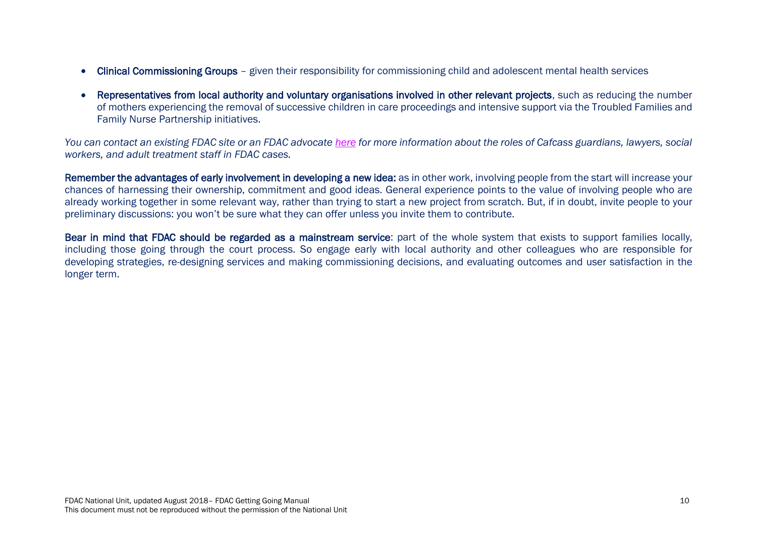- Clinical Commissioning Groups given their responsibility for commissioning child and adolescent mental health services
- Representatives from local authority and voluntary organisations involved in other relevant projects, such as reducing the number of mothers experiencing the removal of successive children in care proceedings and intensive support via the Troubled Families and Family Nurse Partnership initiatives.

*You can contact an existing FDAC site or an FDAC advocate [here](http://fdac.org.uk/fdac-and-national-unit-contacts/) for more information about the roles of Cafcass guardians, lawyers, social workers, and adult treatment staff in FDAC cases.*

Remember the advantages of early involvement in developing a new idea: as in other work, involving people from the start will increase your chances of harnessing their ownership, commitment and good ideas. General experience points to the value of involving people who are already working together in some relevant way, rather than trying to start a new project from scratch. But, if in doubt, invite people to your preliminary discussions: you won't be sure what they can offer unless you invite them to contribute.

Bear in mind that FDAC should be regarded as a mainstream service: part of the whole system that exists to support families locally, including those going through the court process. So engage early with local authority and other colleagues who are responsible for developing strategies, re-designing services and making commissioning decisions, and evaluating outcomes and user satisfaction in the longer term.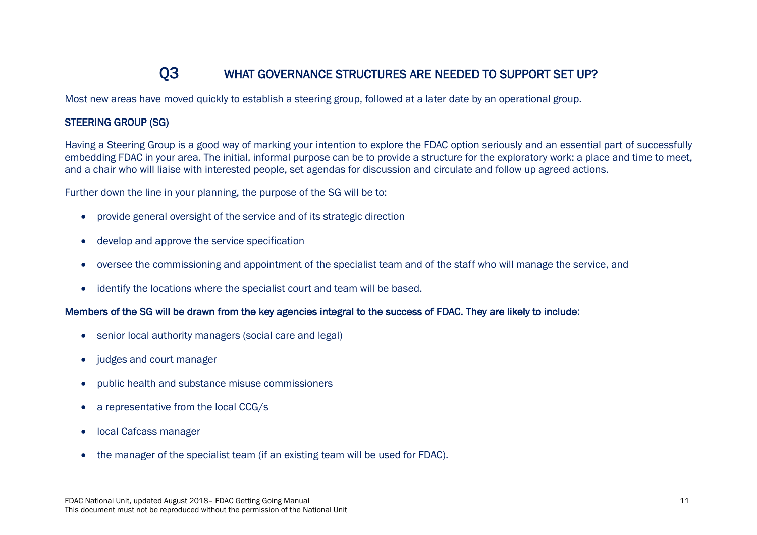## Q3 WHAT GOVERNANCE STRUCTURES ARE NEEDED TO SUPPORT SET UP?

Most new areas have moved quickly to establish a steering group, followed at a later date by an operational group.

#### STEERING GROUP (SG)

Having a Steering Group is a good way of marking your intention to explore the FDAC option seriously and an essential part of successfully embedding FDAC in your area. The initial, informal purpose can be to provide a structure for the exploratory work: a place and time to meet, and a chair who will liaise with interested people, set agendas for discussion and circulate and follow up agreed actions.

Further down the line in your planning, the purpose of the SG will be to:

- provide general oversight of the service and of its strategic direction
- develop and approve the service specification
- oversee the commissioning and appointment of the specialist team and of the staff who will manage the service, and
- identify the locations where the specialist court and team will be based.

#### Members of the SG will be drawn from the key agencies integral to the success of FDAC. They are likely to include:

- senior local authority managers (social care and legal)
- judges and court manager
- public health and substance misuse commissioners
- a representative from the local CCG/s
- local Cafcass manager
- the manager of the specialist team (if an existing team will be used for FDAC).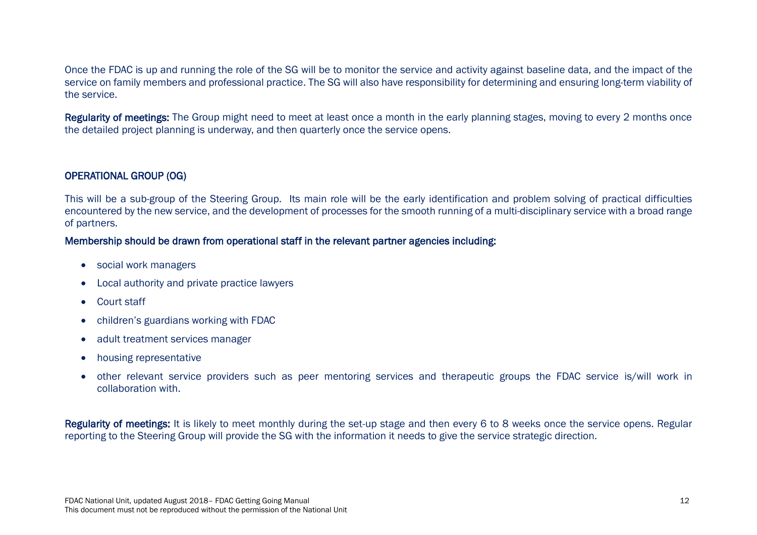Once the FDAC is up and running the role of the SG will be to monitor the service and activity against baseline data, and the impact of the service on family members and professional practice. The SG will also have responsibility for determining and ensuring long-term viability of the service.

Regularity of meetings: The Group might need to meet at least once a month in the early planning stages, moving to every 2 months once the detailed project planning is underway, and then quarterly once the service opens.

#### OPERATIONAL GROUP (OG)

This will be a sub-group of the Steering Group. Its main role will be the early identification and problem solving of practical difficulties encountered by the new service, and the development of processes for the smooth running of a multi-disciplinary service with a broad range of partners.

#### Membership should be drawn from operational staff in the relevant partner agencies including:

- social work managers
- Local authority and private practice lawyers
- Court staff
- children's guardians working with FDAC
- adult treatment services manager
- housing representative
- other relevant service providers such as peer mentoring services and therapeutic groups the FDAC service is/will work in collaboration with.

Regularity of meetings: It is likely to meet monthly during the set-up stage and then every 6 to 8 weeks once the service opens. Regular reporting to the Steering Group will provide the SG with the information it needs to give the service strategic direction.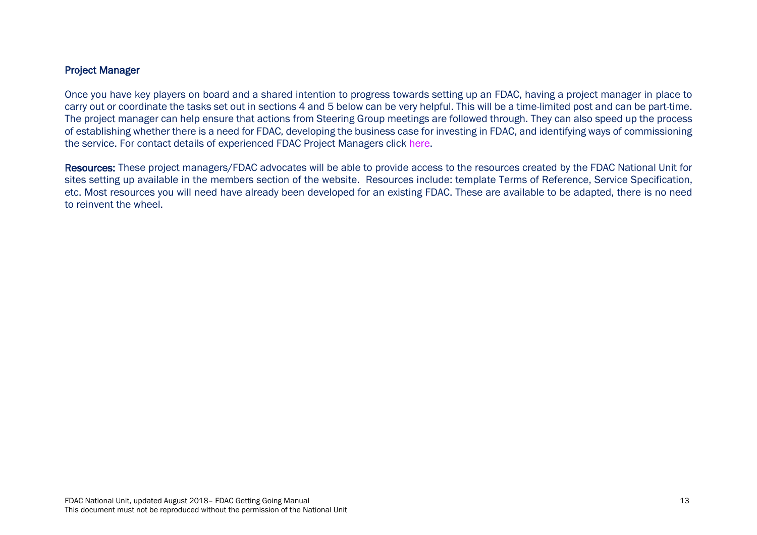#### Project Manager

Once you have key players on board and a shared intention to progress towards setting up an FDAC, having a project manager in place to carry out or coordinate the tasks set out in sections 4 and 5 below can be very helpful. This will be a time-limited post and can be part-time. The project manager can help ensure that actions from Steering Group meetings are followed through. They can also speed up the process of establishing whether there is a need for FDAC, developing the business case for investing in FDAC, and identifying ways of commissioning the service. For contact details of experienced FDAC Project Managers click [here.](http://fdac.org.uk/fdac-and-national-unit-contacts/)

Resources: These project managers/FDAC advocates will be able to provide access to the resources created by the FDAC National Unit for sites setting up available in the members section of the website. Resources include: template Terms of Reference, Service Specification, etc. Most resources you will need have already been developed for an existing FDAC. These are available to be adapted, there is no need to reinvent the wheel.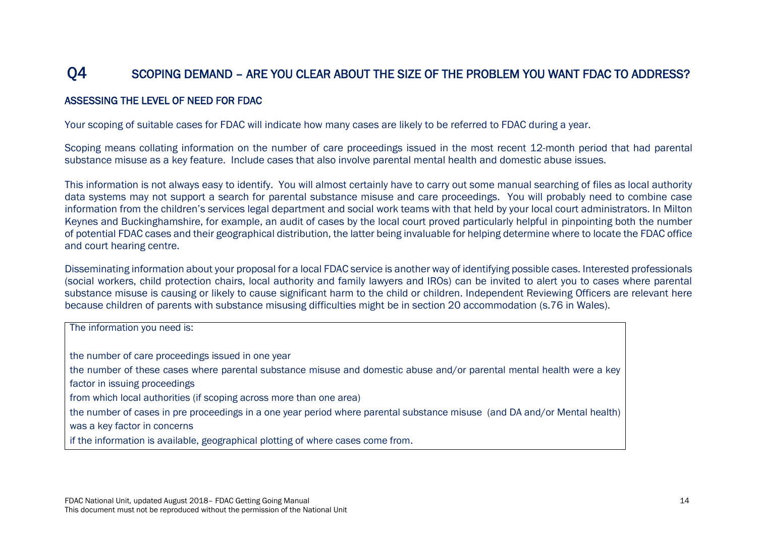## Q4 SCOPING DEMAND – ARE YOU CLEAR ABOUT THE SIZE OF THE PROBLEM YOU WANT FDAC TO ADDRESS?

#### ASSESSING THE LEVEL OF NEED FOR FDAC

Your scoping of suitable cases for FDAC will indicate how many cases are likely to be referred to FDAC during a year.

Scoping means collating information on the number of care proceedings issued in the most recent 12-month period that had parental substance misuse as a key feature. Include cases that also involve parental mental health and domestic abuse issues.

This information is not always easy to identify. You will almost certainly have to carry out some manual searching of files as local authority data systems may not support a search for parental substance misuse and care proceedings. You will probably need to combine case information from the children's services legal department and social work teams with that held by your local court administrators. In Milton Keynes and Buckinghamshire, for example, an audit of cases by the local court proved particularly helpful in pinpointing both the number of potential FDAC cases and their geographical distribution, the latter being invaluable for helping determine where to locate the FDAC office and court hearing centre.

Disseminating information about your proposal for a local FDAC service is another way of identifying possible cases. Interested professionals (social workers, child protection chairs, local authority and family lawyers and IROs) can be invited to alert you to cases where parental substance misuse is causing or likely to cause significant harm to the child or children. Independent Reviewing Officers are relevant here because children of parents with substance misusing difficulties might be in section 20 accommodation (s.76 in Wales).

| The information you need is:                                                                                              |
|---------------------------------------------------------------------------------------------------------------------------|
| the number of care proceedings issued in one year                                                                         |
| the number of these cases where parental substance misuse and domestic abuse and/or parental mental health were a key     |
| factor in issuing proceedings                                                                                             |
| from which local authorities (if scoping across more than one area)                                                       |
| the number of cases in pre proceedings in a one year period where parental substance misuse (and DA and/or Mental health) |
| was a key factor in concerns                                                                                              |
| if the information is available, geographical plotting of where cases come from.                                          |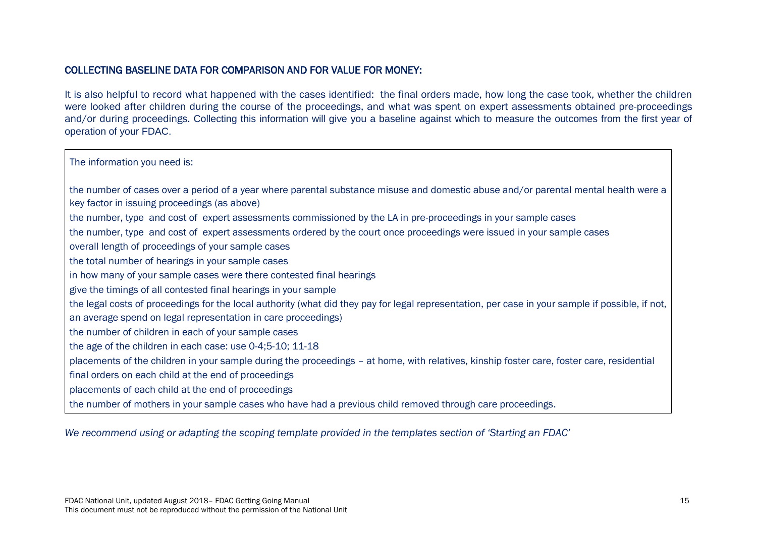#### COLLECTING BASELINE DATA FOR COMPARISON AND FOR VALUE FOR MONEY:

It is also helpful to record what happened with the cases identified: the final orders made, how long the case took, whether the children were looked after children during the course of the proceedings, and what was spent on expert assessments obtained pre-proceedings and/or during proceedings. Collecting this information will give you a baseline against which to measure the outcomes from the first year of operation of your FDAC.

The information you need is:

 the number of cases over a period of a year where parental substance misuse and domestic abuse and/or parental mental health were a key factor in issuing proceedings (as above) the number, type and cost of expert assessments commissioned by the LA in pre-proceedings in your sample cases the number, type and cost of expert assessments ordered by the court once proceedings were issued in your sample cases overall length of proceedings of your sample cases the total number of hearings in your sample cases in how many of your sample cases were there contested final hearings give the timings of all contested final hearings in your sample the legal costs of proceedings for the local authority (what did they pay for legal representation, per case in your sample if possible, if not, an average spend on legal representation in care proceedings) the number of children in each of your sample cases the age of the children in each case: use 0-4;5-10; 11-18 placements of the children in your sample during the proceedings – at home, with relatives, kinship foster care, foster care, residential final orders on each child at the end of proceedings placements of each child at the end of proceedings the number of mothers in your sample cases who have had a previous child removed through care proceedings.

*We recommend using or adapting the scoping template provided in the templates section of 'Starting an FDAC'*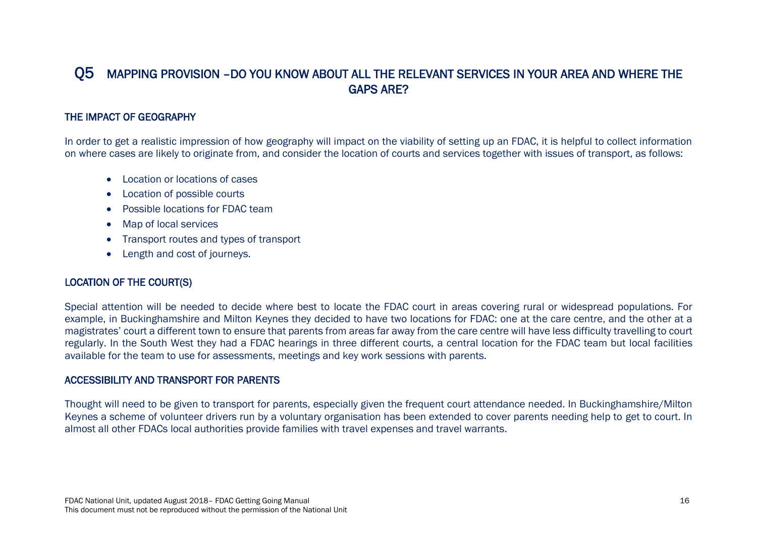## Q5 MAPPING PROVISION –DO YOU KNOW ABOUT ALL THE RELEVANT SERVICES IN YOUR AREA AND WHERE THE GAPS ARE?

#### THE IMPACT OF GEOGRAPHY

In order to get a realistic impression of how geography will impact on the viability of setting up an FDAC, it is helpful to collect information on where cases are likely to originate from, and consider the location of courts and services together with issues of transport, as follows:

- Location or locations of cases
- Location of possible courts
- Possible locations for FDAC team
- Map of local services
- Transport routes and types of transport
- Length and cost of journeys.

#### LOCATION OF THE COURT(S)

Special attention will be needed to decide where best to locate the FDAC court in areas covering rural or widespread populations. For example, in Buckinghamshire and Milton Keynes they decided to have two locations for FDAC: one at the care centre, and the other at a magistrates' court a different town to ensure that parents from areas far away from the care centre will have less difficulty travelling to court regularly. In the South West they had a FDAC hearings in three different courts, a central location for the FDAC team but local facilities available for the team to use for assessments, meetings and key work sessions with parents.

#### ACCESSIBILITY AND TRANSPORT FOR PARENTS

Thought will need to be given to transport for parents, especially given the frequent court attendance needed. In Buckinghamshire/Milton Keynes a scheme of volunteer drivers run by a voluntary organisation has been extended to cover parents needing help to get to court. In almost all other FDACs local authorities provide families with travel expenses and travel warrants.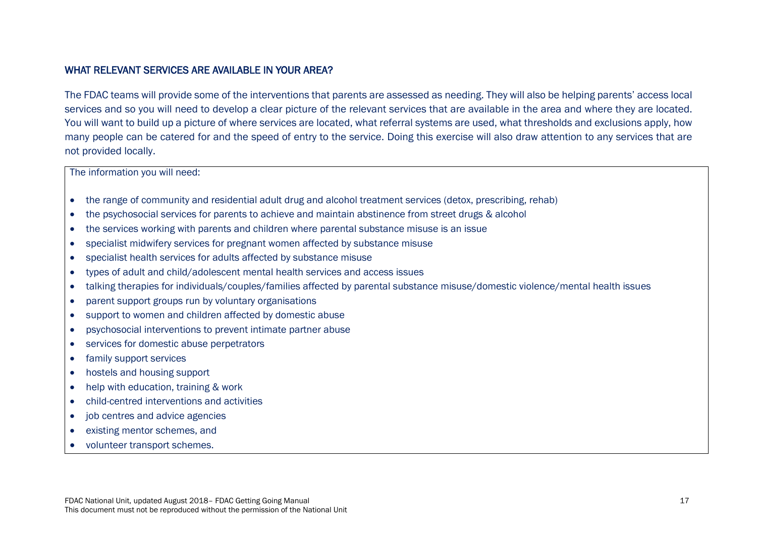#### WHAT RELEVANT SERVICES ARE AVAILABLE IN YOUR AREA?

The FDAC teams will provide some of the interventions that parents are assessed as needing. They will also be helping parents' access local services and so you will need to develop a clear picture of the relevant services that are available in the area and where they are located. You will want to build up a picture of where services are located, what referral systems are used, what thresholds and exclusions apply, how many people can be catered for and the speed of entry to the service. Doing this exercise will also draw attention to any services that are not provided locally.

The information you will need:

- the range of community and residential adult drug and alcohol treatment services (detox, prescribing, rehab)
- the psychosocial services for parents to achieve and maintain abstinence from street drugs & alcohol
- the services working with parents and children where parental substance misuse is an issue
- specialist midwifery services for pregnant women affected by substance misuse
- specialist health services for adults affected by substance misuse
- types of adult and child/adolescent mental health services and access issues
- talking therapies for individuals/couples/families affected by parental substance misuse/domestic violence/mental health issues
- parent support groups run by voluntary organisations
- support to women and children affected by domestic abuse
- psychosocial interventions to prevent intimate partner abuse
- services for domestic abuse perpetrators
- family support services
- hostels and housing support
- help with education, training & work
- child-centred interventions and activities
- job centres and advice agencies
- existing mentor schemes, and
- volunteer transport schemes.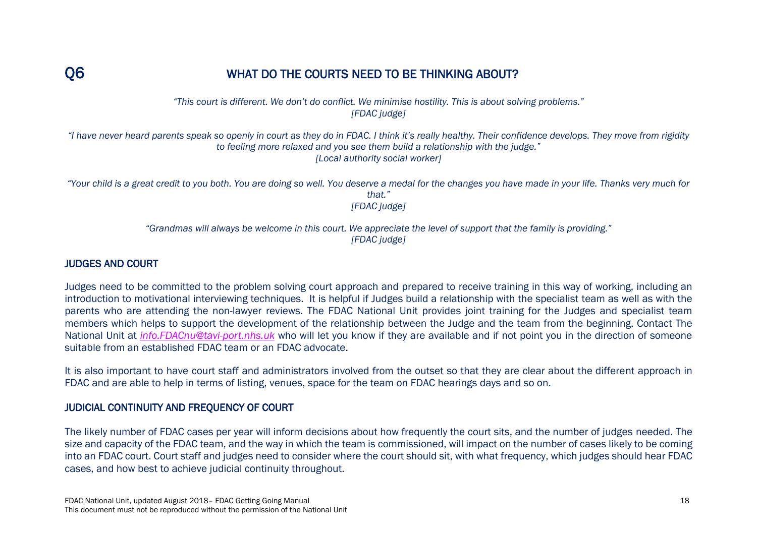## O6 WHAT DO THE COURTS NEED TO BE THINKING ABOUT?

*"This court is different. We don't do conflict. We minimise hostility. This is about solving problems." [FDAC judge]*

*"I have never heard parents speak so openly in court as they do in FDAC. I think it's really healthy. Their confidence develops. They move from rigidity to feeling more relaxed and you see them build a relationship with the judge." [Local authority social worker]*

*"Your child is a great credit to you both. You are doing so well. You deserve a medal for the changes you have made in your life. Thanks very much for that." [FDAC judge]*

> *"Grandmas will always be welcome in this court. We appreciate the level of support that the family is providing." [FDAC judge]*

#### JUDGES AND COURT

Judges need to be committed to the problem solving court approach and prepared to receive training in this way of working, including an introduction to motivational interviewing techniques. It is helpful if Judges build a relationship with the specialist team as well as with the parents who are attending the non-lawyer reviews. The FDAC National Unit provides joint training for the Judges and specialist team members which helps to support the development of the relationship between the Judge and the team from the beginning. Contact The National Unit at *[info.FDACnu@tavi-port.nhs.uk](mailto:info.FDACnu@tavi-port.nhs.uk)* who will let you know if they are available and if not point you in the direction of someone suitable from an established FDAC team or an FDAC advocate.

It is also important to have court staff and administrators involved from the outset so that they are clear about the different approach in FDAC and are able to help in terms of listing, venues, space for the team on FDAC hearings days and so on.

#### JUDICIAL CONTINUITY AND FREQUENCY OF COURT

The likely number of FDAC cases per year will inform decisions about how frequently the court sits, and the number of judges needed. The size and capacity of the FDAC team, and the way in which the team is commissioned, will impact on the number of cases likely to be coming into an FDAC court. Court staff and judges need to consider where the court should sit, with what frequency, which judges should hear FDAC cases, and how best to achieve judicial continuity throughout.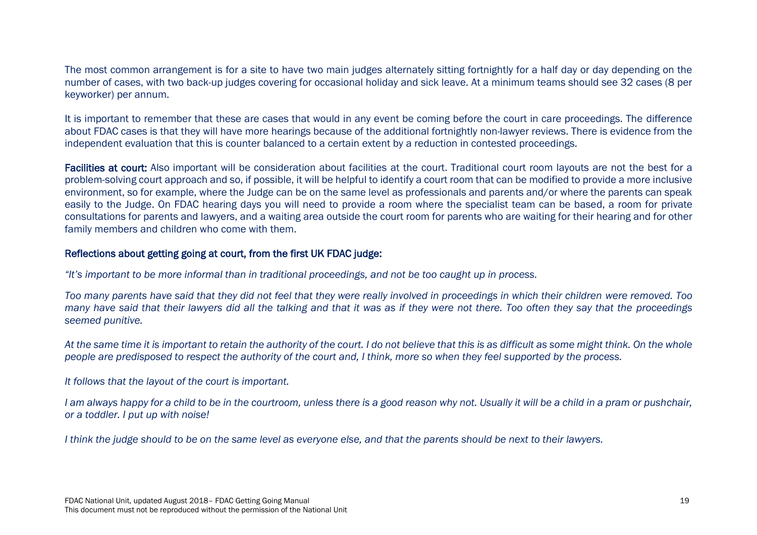The most common arrangement is for a site to have two main judges alternately sitting fortnightly for a half day or day depending on the number of cases, with two back-up judges covering for occasional holiday and sick leave. At a minimum teams should see 32 cases (8 per keyworker) per annum.

It is important to remember that these are cases that would in any event be coming before the court in care proceedings. The difference about FDAC cases is that they will have more hearings because of the additional fortnightly non-lawyer reviews. There is evidence from the independent evaluation that this is counter balanced to a certain extent by a reduction in contested proceedings.

Facilities at court: Also important will be consideration about facilities at the court. Traditional court room layouts are not the best for a problem-solving court approach and so, if possible, it will be helpful to identify a court room that can be modified to provide a more inclusive environment, so for example, where the Judge can be on the same level as professionals and parents and/or where the parents can speak easily to the Judge. On FDAC hearing days you will need to provide a room where the specialist team can be based, a room for private consultations for parents and lawyers, and a waiting area outside the court room for parents who are waiting for their hearing and for other family members and children who come with them.

#### Reflections about getting going at court, from the first UK FDAC judge:

*"It's important to be more informal than in traditional proceedings, and not be too caught up in process.*

*Too many parents have said that they did not feel that they were really involved in proceedings in which their children were removed. Too many have said that their lawyers did all the talking and that it was as if they were not there. Too often they say that the proceedings seemed punitive.*

*At the same time it is important to retain the authority of the court. I do not believe that this is as difficult as some might think. On the whole people are predisposed to respect the authority of the court and, I think, more so when they feel supported by the process.*

*It follows that the layout of the court is important.*

*I am always happy for a child to be in the courtroom, unless there is a good reason why not. Usually it will be a child in a pram or pushchair, or a toddler. I put up with noise!*

*I think the judge should to be on the same level as everyone else, and that the parents should be next to their lawyers.*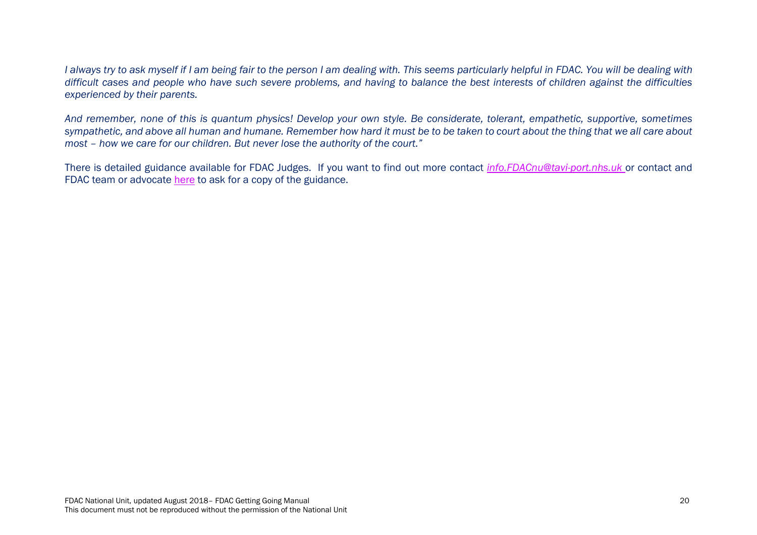*I always try to ask myself if I am being fair to the person I am dealing with. This seems particularly helpful in FDAC. You will be dealing with difficult cases and people who have such severe problems, and having to balance the best interests of children against the difficulties experienced by their parents.*

*And remember, none of this is quantum physics! Develop your own style. Be considerate, tolerant, empathetic, supportive, sometimes sympathetic, and above all human and humane. Remember how hard it must be to be taken to court about the thing that we all care about most – how we care for our children. But never lose the authority of the court."*

There is detailed guidance available for FDAC Judges. If you want to find out more contact *[info.FDACnu@tavi-port.nhs.uk](mailto:info.FDACnu@tavi-port.nhs.uk)* or contact and FDAC team or advocate [here](http://fdac.org.uk/fdac-and-national-unit-contacts/) to ask for a copy of the guidance.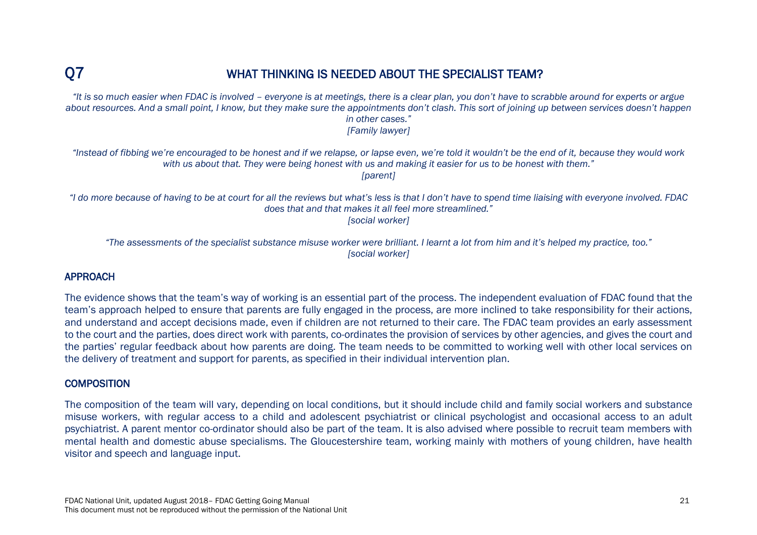## Q7 WHAT THINKING IS NEEDED ABOUT THE SPECIALIST TEAM?

*"It is so much easier when FDAC is involved – everyone is at meetings, there is a clear plan, you don't have to scrabble around for experts or argue about resources. And a small point, I know, but they make sure the appointments don't clash. This sort of joining up between services doesn't happen in other cases." [Family lawyer]*

"Instead of fibbing we're encouraged to be honest and if we relapse, or lapse even, we're told it wouldn't be the end of it, because they would work *with us about that. They were being honest with us and making it easier for us to be honest with them."* 

*[parent]*

<sup>"</sup>I do more because of having to be at court for all the reviews but what's less is that I don't have to spend time liaising with everyone involved. FDAC *does that and that makes it all feel more streamlined."* 

*[social worker]*

*"The assessments of the specialist substance misuse worker were brilliant. I learnt a lot from him and it's helped my practice, too." [social worker]*

#### APPROACH

The evidence shows that the team's way of working is an essential part of the process. The independent evaluation of FDAC found that the team's approach helped to ensure that parents are fully engaged in the process, are more inclined to take responsibility for their actions, and understand and accept decisions made, even if children are not returned to their care. The FDAC team provides an early assessment to the court and the parties, does direct work with parents, co-ordinates the provision of services by other agencies, and gives the court and the parties' regular feedback about how parents are doing. The team needs to be committed to working well with other local services on the delivery of treatment and support for parents, as specified in their individual intervention plan.

#### **COMPOSITION**

The composition of the team will vary, depending on local conditions, but it should include child and family social workers and substance misuse workers, with regular access to a child and adolescent psychiatrist or clinical psychologist and occasional access to an adult psychiatrist. A parent mentor co-ordinator should also be part of the team. It is also advised where possible to recruit team members with mental health and domestic abuse specialisms. The Gloucestershire team, working mainly with mothers of young children, have health visitor and speech and language input.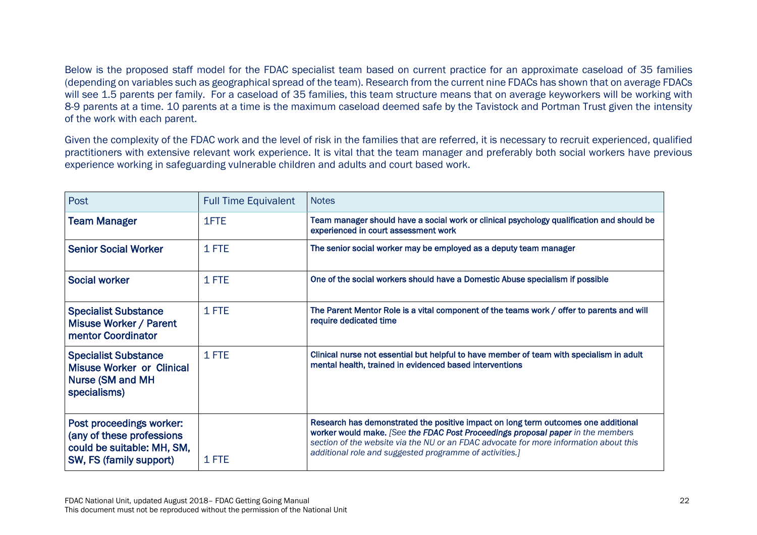Below is the proposed staff model for the FDAC specialist team based on current practice for an approximate caseload of 35 families (depending on variables such as geographical spread of the team). Research from the current nine FDACs has shown that on average FDACs will see 1.5 parents per family. For a caseload of 35 families, this team structure means that on average keyworkers will be working with 8-9 parents at a time. 10 parents at a time is the maximum caseload deemed safe by the Tavistock and Portman Trust given the intensity of the work with each parent.

Given the complexity of the FDAC work and the level of risk in the families that are referred, it is necessary to recruit experienced, qualified practitioners with extensive relevant work experience. It is vital that the team manager and preferably both social workers have previous experience working in safeguarding vulnerable children and adults and court based work.

| Post                                                                                                           | <b>Full Time Equivalent</b> | <b>Notes</b>                                                                                                                                                                                                                                                                                                              |
|----------------------------------------------------------------------------------------------------------------|-----------------------------|---------------------------------------------------------------------------------------------------------------------------------------------------------------------------------------------------------------------------------------------------------------------------------------------------------------------------|
| <b>Team Manager</b>                                                                                            | 1FTE                        | Team manager should have a social work or clinical psychology qualification and should be<br>experienced in court assessment work                                                                                                                                                                                         |
| <b>Senior Social Worker</b>                                                                                    | 1 FTE                       | The senior social worker may be employed as a deputy team manager                                                                                                                                                                                                                                                         |
| <b>Social worker</b>                                                                                           | 1 FTE                       | One of the social workers should have a Domestic Abuse specialism if possible                                                                                                                                                                                                                                             |
| <b>Specialist Substance</b><br><b>Misuse Worker / Parent</b><br>mentor Coordinator                             | 1 FTE                       | The Parent Mentor Role is a vital component of the teams work / offer to parents and will<br>require dedicated time                                                                                                                                                                                                       |
| <b>Specialist Substance</b><br><b>Misuse Worker or Clinical</b><br><b>Nurse (SM and MH</b><br>specialisms)     | 1 FTE                       | Clinical nurse not essential but helpful to have member of team with specialism in adult<br>mental health, trained in evidenced based interventions                                                                                                                                                                       |
| Post proceedings worker:<br>(any of these professions<br>could be suitable: MH, SM,<br>SW, FS (family support) | 1 FTE                       | Research has demonstrated the positive impact on long term outcomes one additional<br>worker would make. [See the FDAC Post Proceedings proposal paper in the members<br>section of the website via the NU or an FDAC advocate for more information about this<br>additional role and suggested programme of activities.] |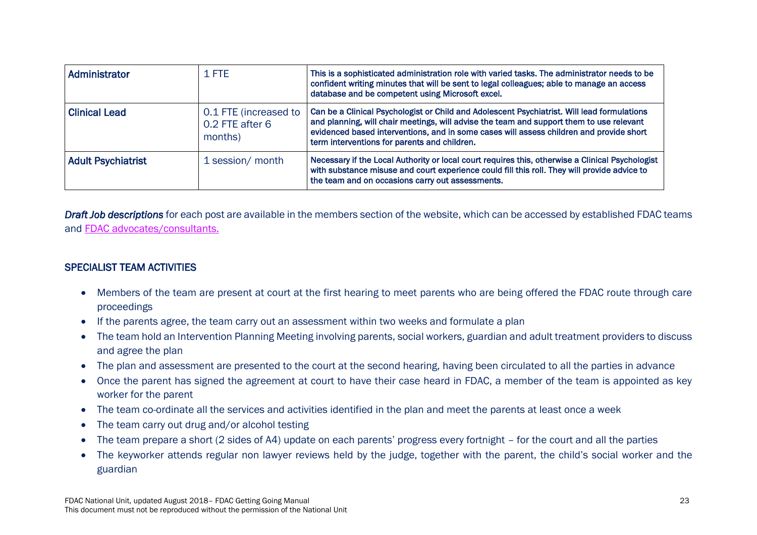| Administrator             | 1 FTE                                               | This is a sophisticated administration role with varied tasks. The administrator needs to be<br>confident writing minutes that will be sent to legal colleagues; able to manage an access<br>database and be competent using Microsoft excel.                                                                                      |
|---------------------------|-----------------------------------------------------|------------------------------------------------------------------------------------------------------------------------------------------------------------------------------------------------------------------------------------------------------------------------------------------------------------------------------------|
| <b>Clinical Lead</b>      | 0.1 FTE (increased to<br>0.2 FTE after 6<br>months) | Can be a Clinical Psychologist or Child and Adolescent Psychiatrist. Will lead formulations<br>and planning, will chair meetings, will advise the team and support them to use relevant<br>evidenced based interventions, and in some cases will assess children and provide short<br>term interventions for parents and children. |
| <b>Adult Psychiatrist</b> | 1 session/ month                                    | Necessary if the Local Authority or local court requires this, otherwise a Clinical Psychologist<br>with substance misuse and court experience could fill this roll. They will provide advice to<br>the team and on occasions carry out assessments.                                                                               |

*Draft Job descriptions* for each post are available in the members section of the website, which can be accessed by established FDAC teams and [FDAC advocates/consultants.](http://fdac.org.uk/fdac-and-national-unit-contacts/) 

#### SPECIALIST TEAM ACTIVITIES

- Members of the team are present at court at the first hearing to meet parents who are being offered the FDAC route through care proceedings
- If the parents agree, the team carry out an assessment within two weeks and formulate a plan
- The team hold an Intervention Planning Meeting involving parents, social workers, guardian and adult treatment providers to discuss and agree the plan
- The plan and assessment are presented to the court at the second hearing, having been circulated to all the parties in advance
- Once the parent has signed the agreement at court to have their case heard in FDAC, a member of the team is appointed as key worker for the parent
- The team co-ordinate all the services and activities identified in the plan and meet the parents at least once a week
- The team carry out drug and/or alcohol testing
- The team prepare a short (2 sides of A4) update on each parents' progress every fortnight for the court and all the parties
- The keyworker attends regular non lawyer reviews held by the judge, together with the parent, the child's social worker and the guardian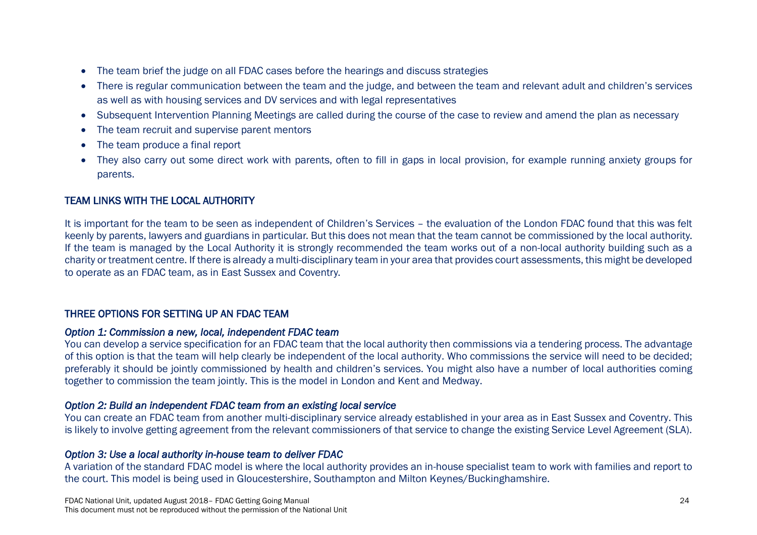- The team brief the judge on all FDAC cases before the hearings and discuss strategies
- There is regular communication between the team and the judge, and between the team and relevant adult and children's services as well as with housing services and DV services and with legal representatives
- Subsequent Intervention Planning Meetings are called during the course of the case to review and amend the plan as necessary
- The team recruit and supervise parent mentors
- The team produce a final report
- They also carry out some direct work with parents, often to fill in gaps in local provision, for example running anxiety groups for parents.

### TEAM LINKS WITH THE LOCAL AUTHORITY

It is important for the team to be seen as independent of Children's Services – the evaluation of the London FDAC found that this was felt keenly by parents, lawyers and guardians in particular. But this does not mean that the team cannot be commissioned by the local authority. If the team is managed by the Local Authority it is strongly recommended the team works out of a non-local authority building such as a charity or treatment centre. If there is already a multi-disciplinary team in your area that provides court assessments, this might be developed to operate as an FDAC team, as in East Sussex and Coventry.

#### THREE OPTIONS FOR SETTING UP AN FDAC TEAM

#### *Option 1: Commission a new, local, independent FDAC team*

You can develop a service specification for an FDAC team that the local authority then commissions via a tendering process. The advantage of this option is that the team will help clearly be independent of the local authority. Who commissions the service will need to be decided; preferably it should be jointly commissioned by health and children's services. You might also have a number of local authorities coming together to commission the team jointly. This is the model in London and Kent and Medway.

#### *Option 2: Build an independent FDAC team from an existing local service*

You can create an FDAC team from another multi-disciplinary service already established in your area as in East Sussex and Coventry. This is likely to involve getting agreement from the relevant commissioners of that service to change the existing Service Level Agreement (SLA).

#### *Option 3: Use a local authority in-house team to deliver FDAC*

A variation of the standard FDAC model is where the local authority provides an in-house specialist team to work with families and report to the court. This model is being used in Gloucestershire, Southampton and Milton Keynes/Buckinghamshire.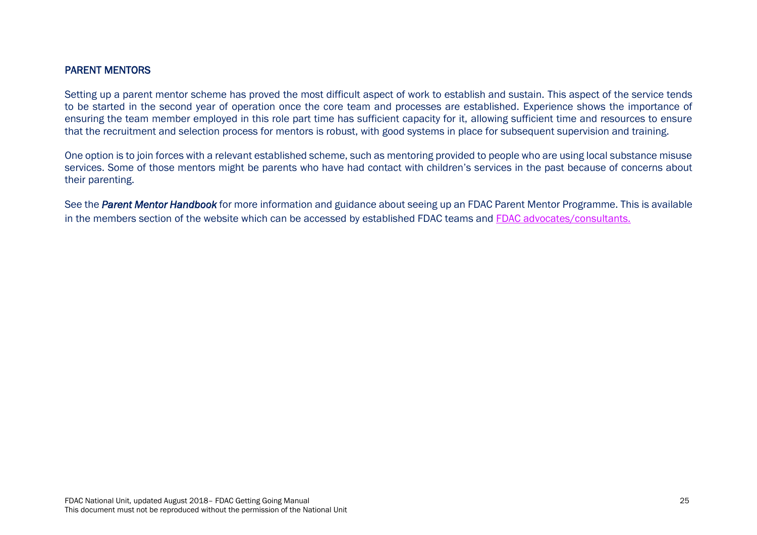#### PARENT MENTORS

Setting up a parent mentor scheme has proved the most difficult aspect of work to establish and sustain. This aspect of the service tends to be started in the second year of operation once the core team and processes are established. Experience shows the importance of ensuring the team member employed in this role part time has sufficient capacity for it, allowing sufficient time and resources to ensure that the recruitment and selection process for mentors is robust, with good systems in place for subsequent supervision and training.

One option is to join forces with a relevant established scheme, such as mentoring provided to people who are using local substance misuse services. Some of those mentors might be parents who have had contact with children's services in the past because of concerns about their parenting.

See the *Parent Mentor Handbook* for more information and guidance about seeing up an FDAC Parent Mentor Programme. This is available in the members section of the website which can be accessed by established FDAC teams and [FDAC advocates/consultants.](http://fdac.org.uk/fdac-and-national-unit-contacts/)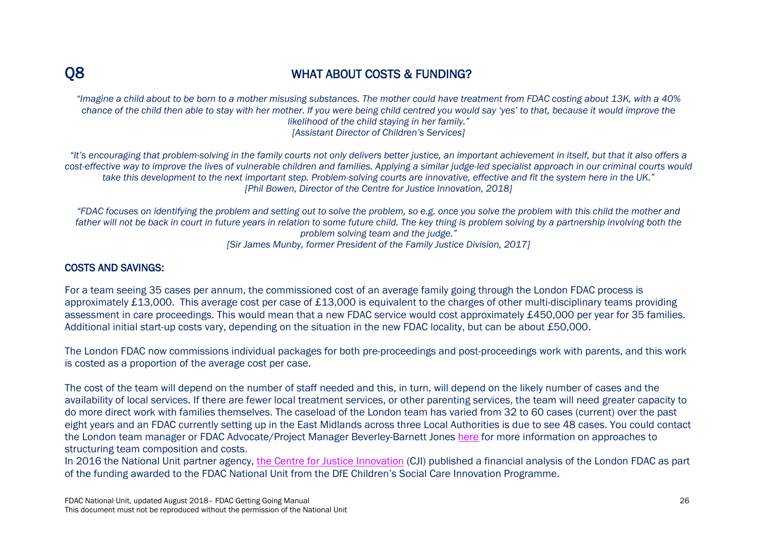## Q8 WHAT ABOUT COSTS & FUNDING?

*"Imagine a child about to be born to a mother misusing substances. The mother could have treatment from FDAC costing about 13K, with a 40% chance of the child then able to stay with her mother. If you were being child centred you would say 'yes' to that, because it would improve the likelihood of the child staying in her family." [Assistant Director of Children's Services]*

*"It's encouraging that problem-solving in the family courts not only delivers better justice, an important achievement in itself, but that it also offers a cost-effective way to improve the lives of vulnerable children and families. Applying a similar judge-led specialist approach in our criminal courts would take this development to the next important step. Problem-solving courts are innovative, effective and fit the system here in the UK." [Phil Bowen, Director of the Centre for Justice Innovation, 2018]*

*"FDAC focuses on identifying the problem and setting out to solve the problem, so e.g. once you solve the problem with this child the mother and*  father will not be back in court in future vears in relation to some future child. The key thing is problem solving by a partnership involving both the *problem solving team and the judge." [Sir James Munby, former President of the Family Justice Division, 2017]*

#### COSTS AND SAVINGS:

For a team seeing 35 cases per annum, the commissioned cost of an average family going through the London FDAC process is approximately £13,000. This average cost per case of £13,000 is equivalent to the charges of other multi-disciplinary teams providing assessment in care proceedings. This would mean that a new FDAC service would cost approximately £450,000 per year for 35 families. Additional initial start-up costs vary, depending on the situation in the new FDAC locality, but can be about £50,000.

The London FDAC now commissions individual packages for both pre-proceedings and post-proceedings work with parents, and this work is costed as a proportion of the average cost per case.

The cost of the team will depend on the number of staff needed and this, in turn, will depend on the likely number of cases and the availability of local services. If there are fewer local treatment services, or other parenting services, the team will need greater capacity to do more direct work with families themselves. The caseload of the London team has varied from 32 to 60 cases (current) over the past eight years and an FDAC currently setting up in the East Midlands across three Local Authorities is due to see 48 cases. You could contact the London team manager or FDAC Advocate/Project Manager Beverley-Barnett Jones [here](http://fdac.org.uk/fdac-and-national-unit-contacts/) for more information on approaches to structuring team composition and costs.

In 2016 the National Unit partner agency, [the Centre for Justice Innovation](http://fdac.org.uk/about-the-national-unit/the-partnership-board/) (CJI) published a financial analysis of the London FDAC as part of the funding awarded to the FDAC National Unit from the DfE Children's Social Care Innovation Programme.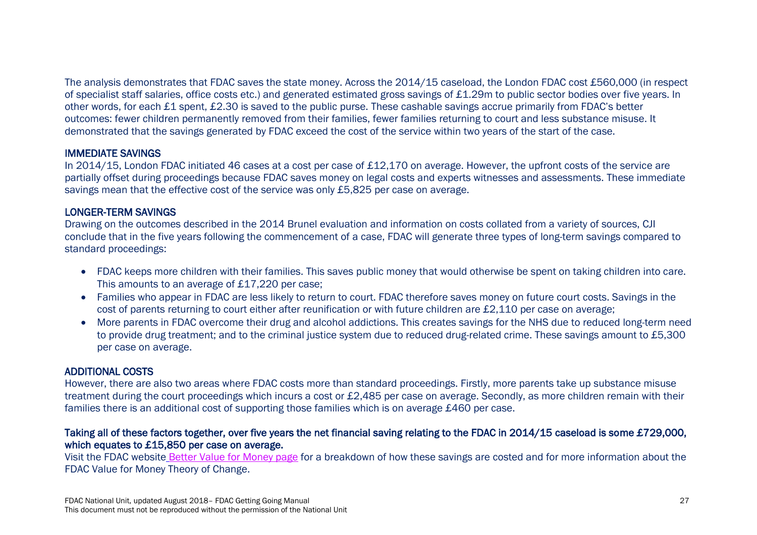The analysis demonstrates that FDAC saves the state money. Across the 2014/15 caseload, the London FDAC cost £560,000 (in respect of specialist staff salaries, office costs etc.) and generated estimated gross savings of £1.29m to public sector bodies over five years. In other words, for each £1 spent, £2.30 is saved to the public purse. These cashable savings accrue primarily from FDAC's better outcomes: fewer children permanently removed from their families, fewer families returning to court and less substance misuse. It demonstrated that the savings generated by FDAC exceed the cost of the service within two years of the start of the case.

#### IMMEDIATE SAVINGS

In 2014/15, London FDAC initiated 46 cases at a cost per case of £12,170 on average. However, the upfront costs of the service are partially offset during proceedings because FDAC saves money on legal costs and experts witnesses and assessments. These immediate savings mean that the effective cost of the service was only £5,825 per case on average.

#### LONGER-TERM SAVINGS

Drawing on the outcomes described in the 2014 Brunel evaluation and information on costs collated from a variety of sources, CJI conclude that in the five years following the commencement of a case, FDAC will generate three types of long-term savings compared to standard proceedings:

- FDAC keeps more children with their families. This saves public money that would otherwise be spent on taking children into care. This amounts to an average of £17,220 per case;
- Families who appear in FDAC are less likely to return to court. FDAC therefore saves money on future court costs. Savings in the cost of parents returning to court either after reunification or with future children are £2,110 per case on average;
- More parents in FDAC overcome their drug and alcohol addictions. This creates savings for the NHS due to reduced long-term need to provide drug treatment; and to the criminal justice system due to reduced drug-related crime. These savings amount to £5,300 per case on average.

#### ADDITIONAL COSTS

However, there are also two areas where FDAC costs more than standard proceedings. Firstly, more parents take up substance misuse treatment during the court proceedings which incurs a cost or £2,485 per case on average. Secondly, as more children remain with their families there is an additional cost of supporting those families which is on average £460 per case.

#### Taking all of these factors together, over five years the net financial saving relating to the FDAC in 2014/15 caseload is some £729,000, which equates to £15,850 per case on average.

Visit the FDAC website [Better Value for Money page](http://fdac.org.uk/better-value-money/) for a breakdown of how these savings are costed and for more information about the FDAC Value for Money Theory of Change.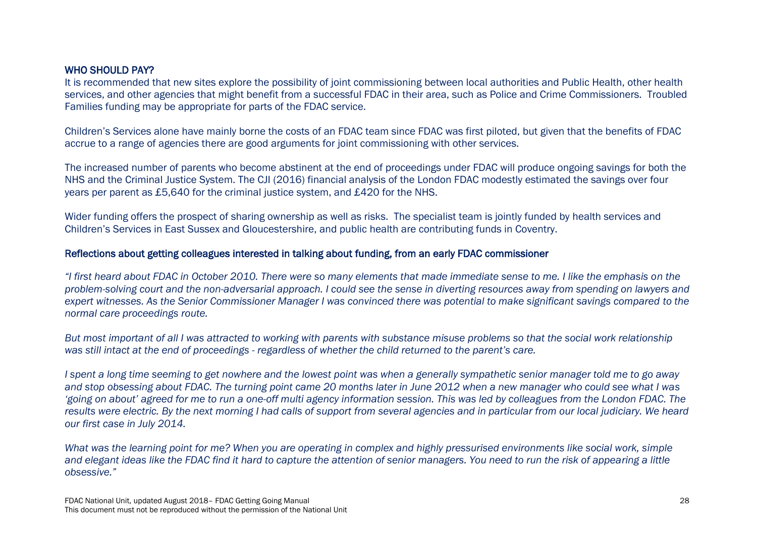#### WHO SHOULD PAY?

It is recommended that new sites explore the possibility of joint commissioning between local authorities and Public Health, other health services, and other agencies that might benefit from a successful FDAC in their area, such as Police and Crime Commissioners. Troubled Families funding may be appropriate for parts of the FDAC service.

Children's Services alone have mainly borne the costs of an FDAC team since FDAC was first piloted, but given that the benefits of FDAC accrue to a range of agencies there are good arguments for joint commissioning with other services.

The increased number of parents who become abstinent at the end of proceedings under FDAC will produce ongoing savings for both the NHS and the Criminal Justice System. The CJI (2016) financial analysis of the London FDAC modestly estimated the savings over four years per parent as £5,640 for the criminal justice system, and £420 for the NHS.

Wider funding offers the prospect of sharing ownership as well as risks. The specialist team is jointly funded by health services and Children's Services in East Sussex and Gloucestershire, and public health are contributing funds in Coventry.

#### Reflections about getting colleagues interested in talking about funding, from an early FDAC commissioner

*"I first heard about FDAC in October 2010. There were so many elements that made immediate sense to me. I like the emphasis on the problem-solving court and the non-adversarial approach. I could see the sense in diverting resources away from spending on lawyers and expert witnesses. As the Senior Commissioner Manager I was convinced there was potential to make significant savings compared to the normal care proceedings route.* 

*But most important of all I was attracted to working with parents with substance misuse problems so that the social work relationship was still intact at the end of proceedings - regardless of whether the child returned to the parent's care.*

*I spent a long time seeming to get nowhere and the lowest point was when a generally sympathetic senior manager told me to go away and stop obsessing about FDAC. The turning point came 20 months later in June 2012 when a new manager who could see what I was 'going on about' agreed for me to run a one-off multi agency information session. This was led by colleagues from the London FDAC. The*  results were electric. By the next morning I had calls of support from several agencies and in particular from our local judiciary. We heard *our first case in July 2014.*

*What was the learning point for me? When you are operating in complex and highly pressurised environments like social work, simple and elegant ideas like the FDAC find it hard to capture the attention of senior managers. You need to run the risk of appearing a little obsessive."*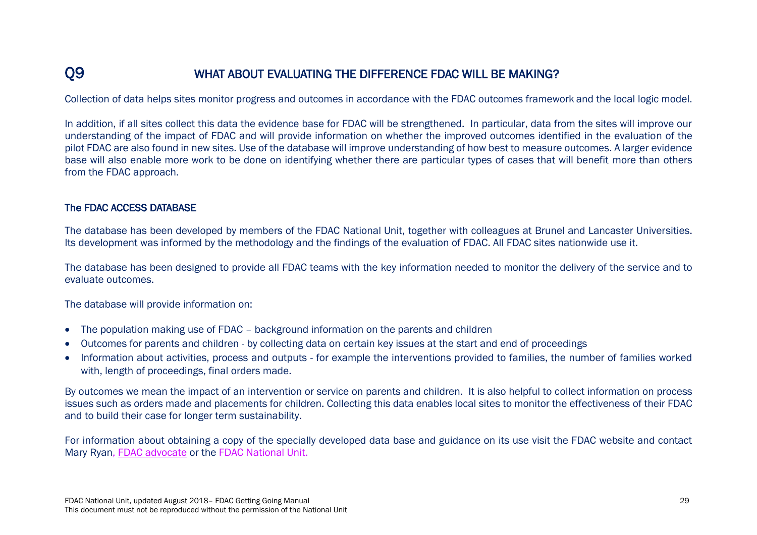## Q9 WHAT ABOUT EVALUATING THE DIFFERENCE FDAC WILL BE MAKING?

Collection of data helps sites monitor progress and outcomes in accordance with the FDAC outcomes framework and the local logic model.

In addition, if all sites collect this data the evidence base for FDAC will be strengthened. In particular, data from the sites will improve our understanding of the impact of FDAC and will provide information on whether the improved outcomes identified in the evaluation of the pilot FDAC are also found in new sites. Use of the database will improve understanding of how best to measure outcomes. A larger evidence base will also enable more work to be done on identifying whether there are particular types of cases that will benefit more than others from the FDAC approach.

#### The FDAC ACCESS DATABASE

The database has been developed by members of the FDAC National Unit, together with colleagues at Brunel and Lancaster Universities. Its development was informed by the methodology and the findings of the evaluation of FDAC. All FDAC sites nationwide use it.

The database has been designed to provide all FDAC teams with the key information needed to monitor the delivery of the service and to evaluate outcomes.

The database will provide information on:

- The population making use of FDAC background information on the parents and children
- Outcomes for parents and children by collecting data on certain key issues at the start and end of proceedings
- Information about activities, process and outputs for example the interventions provided to families, the number of families worked with, length of proceedings, final orders made.

By outcomes we mean the impact of an intervention or service on parents and children. It is also helpful to collect information on process issues such as orders made and placements for children. Collecting this data enables local sites to monitor the effectiveness of their FDAC and to build their case for longer term sustainability.

For information about obtaining a copy of the specially developed data base and guidance on its use visit the FDAC website and contact Mary Ryan, [FDAC advocate](http://fdac.org.uk/fdac-and-national-unit-contacts/) or the FDAC National Unit.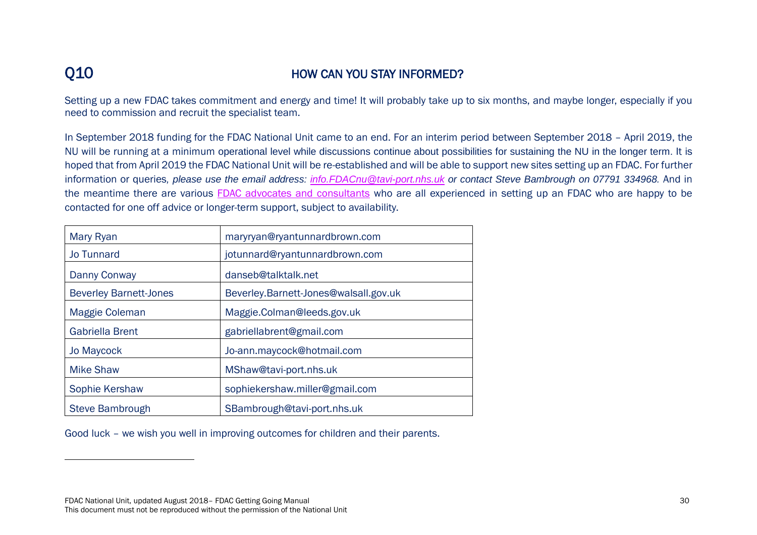# Q10 HOW CAN YOU STAY INFORMED?

Setting up a new FDAC takes commitment and energy and time! It will probably take up to six months, and maybe longer, especially if you need to commission and recruit the specialist team.

In September 2018 funding for the FDAC National Unit came to an end. For an interim period between September 2018 – April 2019, the NU will be running at a minimum operational level while discussions continue about possibilities for sustaining the NU in the longer term. It is hoped that from April 2019 the FDAC National Unit will be re-established and will be able to support new sites setting up an FDAC. For further information or queries*, please use the email address: [info.FDACnu@tavi-port.nhs.uk](mailto:info.FDACnu@tavi-port.nhs.uk) or contact Steve Bambrough on 07791 334968.* And in the meantime there are various [FDAC advocates and consultants](http://fdac.org.uk/fdac-and-national-unit-contacts/) who are all experienced in setting up an FDAC who are happy to be contacted for one off advice or longer-term support, subject to availability.

| Mary Ryan                     | maryryan@ryantunnardbrown.com         |
|-------------------------------|---------------------------------------|
| <b>Jo Tunnard</b>             | jotunnard@ryantunnardbrown.com        |
| Danny Conway                  | danseb@talktalk.net                   |
| <b>Beverley Barnett-Jones</b> | Beverley.Barnett-Jones@walsall.gov.uk |
| Maggie Coleman                | Maggie.Colman@leeds.gov.uk            |
| <b>Gabriella Brent</b>        | gabriellabrent@gmail.com              |
| <b>Jo Maycock</b>             | Jo-ann.maycock@hotmail.com            |
| <b>Mike Shaw</b>              | MShaw@tavi-port.nhs.uk                |
| Sophie Kershaw                | sophiekershaw.miller@gmail.com        |
| Steve Bambrough               | SBambrough@tavi-port.nhs.uk           |

Good luck – we wish you well in improving outcomes for children and their parents.

FDAC National Unit, updated August 2018– FDAC Getting Going Manual 30 This document must not be reproduced without the permission of the National Unit